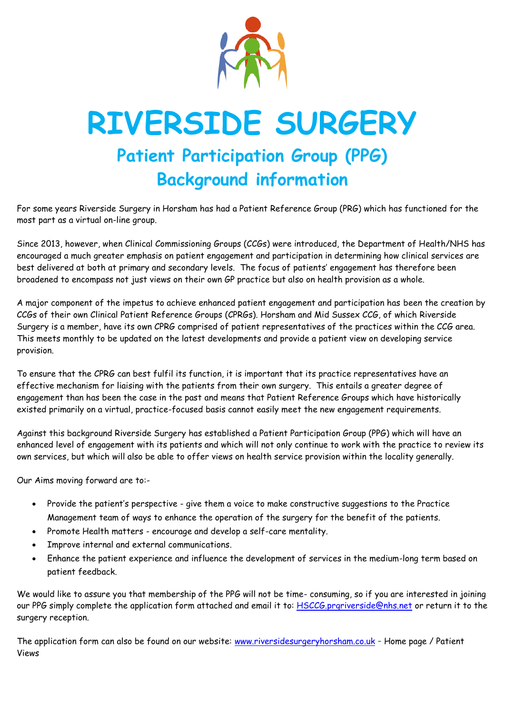

## **RIVERSIDE SURGERY Patient Participation Group (PPG) Background information**

For some years Riverside Surgery in Horsham has had a Patient Reference Group (PRG) which has functioned for the most part as a virtual on-line group.

Since 2013, however, when Clinical Commissioning Groups (CCGs) were introduced, the Department of Health/NHS has encouraged a much greater emphasis on patient engagement and participation in determining how clinical services are best delivered at both at primary and secondary levels. The focus of patients' engagement has therefore been broadened to encompass not just views on their own GP practice but also on health provision as a whole.

A major component of the impetus to achieve enhanced patient engagement and participation has been the creation by CCGs of their own Clinical Patient Reference Groups (CPRGs). Horsham and Mid Sussex CCG, of which Riverside Surgery is a member, have its own CPRG comprised of patient representatives of the practices within the CCG area. This meets monthly to be updated on the latest developments and provide a patient view on developing service provision.

To ensure that the CPRG can best fulfil its function, it is important that its practice representatives have an effective mechanism for liaising with the patients from their own surgery. This entails a greater degree of engagement than has been the case in the past and means that Patient Reference Groups which have historically existed primarily on a virtual, practice-focused basis cannot easily meet the new engagement requirements.

Against this background Riverside Surgery has established a Patient Participation Group (PPG) which will have an enhanced level of engagement with its patients and which will not only continue to work with the practice to review its own services, but which will also be able to offer views on health service provision within the locality generally.

Our Aims moving forward are to:-

- Provide the patient's perspective give them a voice to make constructive suggestions to the Practice Management team of ways to enhance the operation of the surgery for the benefit of the patients.
- Promote Health matters encourage and develop a self-care mentality.
- Improve internal and external communications.
- Enhance the patient experience and influence the development of services in the medium-long term based on patient feedback.

We would like to assure you that membership of the PPG will not be time- consuming, so if you are interested in joining our PPG simply complete the application form attached and email it to: [HSCCG.prgriverside@nhs.net](mailto:HSCCG.prgriverside@nhs.net) or return it to the surgery reception.

The application form can also be found on our website: [www.riversidesurgeryhorsham.co.uk](http://www.riversidesurgeryhorsham.co.uk/) – Home page / Patient Views